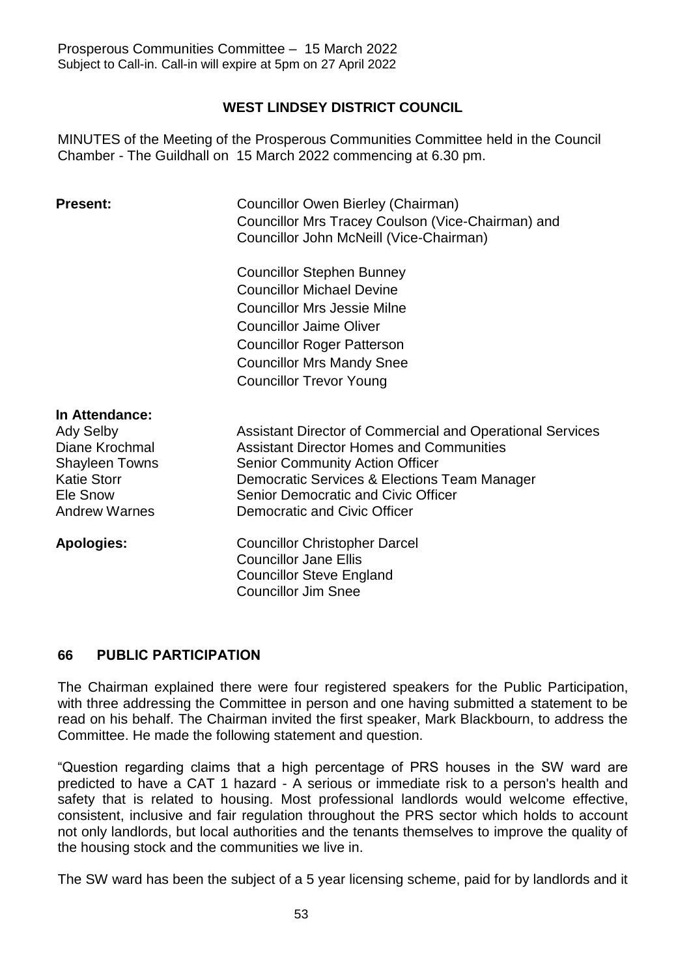# **WEST LINDSEY DISTRICT COUNCIL**

MINUTES of the Meeting of the Prosperous Communities Committee held in the Council Chamber - The Guildhall on 15 March 2022 commencing at 6.30 pm.

| <b>Present:</b>                                                                                                                         | Councillor Owen Bierley (Chairman)<br>Councillor Mrs Tracey Coulson (Vice-Chairman) and<br>Councillor John McNeill (Vice-Chairman)                                                                                                                                                   |
|-----------------------------------------------------------------------------------------------------------------------------------------|--------------------------------------------------------------------------------------------------------------------------------------------------------------------------------------------------------------------------------------------------------------------------------------|
|                                                                                                                                         | <b>Councillor Stephen Bunney</b><br><b>Councillor Michael Devine</b><br><b>Councillor Mrs Jessie Milne</b><br><b>Councillor Jaime Oliver</b><br><b>Councillor Roger Patterson</b><br><b>Councillor Mrs Mandy Snee</b><br><b>Councillor Trevor Young</b>                              |
| In Attendance:<br><b>Ady Selby</b><br>Diane Krochmal<br><b>Shayleen Towns</b><br><b>Katie Storr</b><br>Ele Snow<br><b>Andrew Warnes</b> | Assistant Director of Commercial and Operational Services<br><b>Assistant Director Homes and Communities</b><br><b>Senior Community Action Officer</b><br>Democratic Services & Elections Team Manager<br><b>Senior Democratic and Civic Officer</b><br>Democratic and Civic Officer |
| <b>Apologies:</b>                                                                                                                       | <b>Councillor Christopher Darcel</b><br><b>Councillor Jane Ellis</b><br><b>Councillor Steve England</b><br><b>Councillor Jim Snee</b>                                                                                                                                                |

# **66 PUBLIC PARTICIPATION**

The Chairman explained there were four registered speakers for the Public Participation, with three addressing the Committee in person and one having submitted a statement to be read on his behalf. The Chairman invited the first speaker, Mark Blackbourn, to address the Committee. He made the following statement and question.

"Question regarding claims that a high percentage of PRS houses in the SW ward are predicted to have a CAT 1 hazard - A serious or immediate risk to a person's health and safety that is related to housing. Most professional landlords would welcome effective, consistent, inclusive and fair regulation throughout the PRS sector which holds to account not only landlords, but local authorities and the tenants themselves to improve the quality of the housing stock and the communities we live in.

The SW ward has been the subject of a 5 year licensing scheme, paid for by landlords and it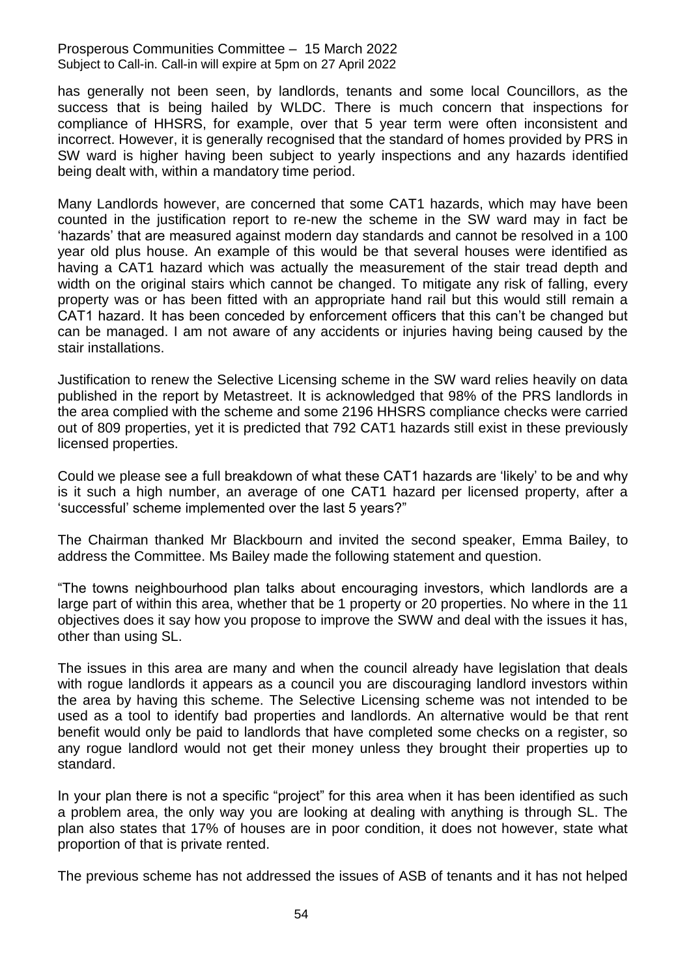has generally not been seen, by landlords, tenants and some local Councillors, as the success that is being hailed by WLDC. There is much concern that inspections for compliance of HHSRS, for example, over that 5 year term were often inconsistent and incorrect. However, it is generally recognised that the standard of homes provided by PRS in SW ward is higher having been subject to yearly inspections and any hazards identified being dealt with, within a mandatory time period.

Many Landlords however, are concerned that some CAT1 hazards, which may have been counted in the justification report to re-new the scheme in the SW ward may in fact be 'hazards' that are measured against modern day standards and cannot be resolved in a 100 year old plus house. An example of this would be that several houses were identified as having a CAT1 hazard which was actually the measurement of the stair tread depth and width on the original stairs which cannot be changed. To mitigate any risk of falling, every property was or has been fitted with an appropriate hand rail but this would still remain a CAT1 hazard. It has been conceded by enforcement officers that this can't be changed but can be managed. I am not aware of any accidents or injuries having being caused by the stair installations.

Justification to renew the Selective Licensing scheme in the SW ward relies heavily on data published in the report by Metastreet. It is acknowledged that 98% of the PRS landlords in the area complied with the scheme and some 2196 HHSRS compliance checks were carried out of 809 properties, yet it is predicted that 792 CAT1 hazards still exist in these previously licensed properties.

Could we please see a full breakdown of what these CAT1 hazards are 'likely' to be and why is it such a high number, an average of one CAT1 hazard per licensed property, after a 'successful' scheme implemented over the last 5 years?"

The Chairman thanked Mr Blackbourn and invited the second speaker, Emma Bailey, to address the Committee. Ms Bailey made the following statement and question.

"The towns neighbourhood plan talks about encouraging investors, which landlords are a large part of within this area, whether that be 1 property or 20 properties. No where in the 11 objectives does it say how you propose to improve the SWW and deal with the issues it has, other than using SL.

The issues in this area are many and when the council already have legislation that deals with rogue landlords it appears as a council you are discouraging landlord investors within the area by having this scheme. The Selective Licensing scheme was not intended to be used as a tool to identify bad properties and landlords. An alternative would be that rent benefit would only be paid to landlords that have completed some checks on a register, so any rogue landlord would not get their money unless they brought their properties up to standard.

In your plan there is not a specific "project" for this area when it has been identified as such a problem area, the only way you are looking at dealing with anything is through SL. The plan also states that 17% of houses are in poor condition, it does not however, state what proportion of that is private rented.

The previous scheme has not addressed the issues of ASB of tenants and it has not helped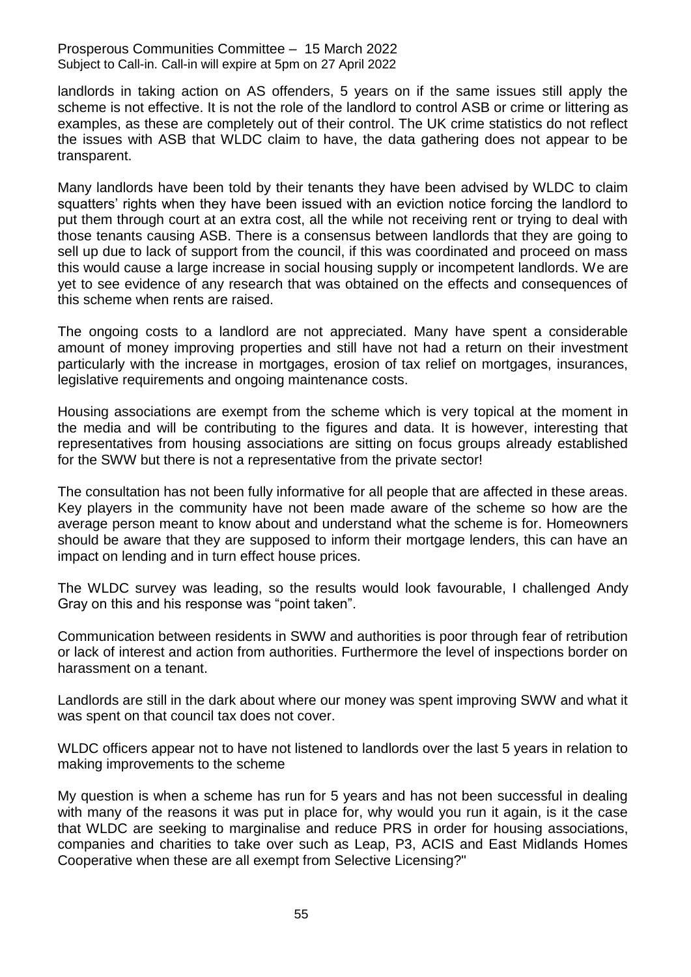landlords in taking action on AS offenders, 5 years on if the same issues still apply the scheme is not effective. It is not the role of the landlord to control ASB or crime or littering as examples, as these are completely out of their control. The UK crime statistics do not reflect the issues with ASB that WLDC claim to have, the data gathering does not appear to be transparent.

Many landlords have been told by their tenants they have been advised by WLDC to claim squatters' rights when they have been issued with an eviction notice forcing the landlord to put them through court at an extra cost, all the while not receiving rent or trying to deal with those tenants causing ASB. There is a consensus between landlords that they are going to sell up due to lack of support from the council, if this was coordinated and proceed on mass this would cause a large increase in social housing supply or incompetent landlords. We are yet to see evidence of any research that was obtained on the effects and consequences of this scheme when rents are raised.

The ongoing costs to a landlord are not appreciated. Many have spent a considerable amount of money improving properties and still have not had a return on their investment particularly with the increase in mortgages, erosion of tax relief on mortgages, insurances, legislative requirements and ongoing maintenance costs.

Housing associations are exempt from the scheme which is very topical at the moment in the media and will be contributing to the figures and data. It is however, interesting that representatives from housing associations are sitting on focus groups already established for the SWW but there is not a representative from the private sector!

The consultation has not been fully informative for all people that are affected in these areas. Key players in the community have not been made aware of the scheme so how are the average person meant to know about and understand what the scheme is for. Homeowners should be aware that they are supposed to inform their mortgage lenders, this can have an impact on lending and in turn effect house prices.

The WLDC survey was leading, so the results would look favourable, I challenged Andy Gray on this and his response was "point taken".

Communication between residents in SWW and authorities is poor through fear of retribution or lack of interest and action from authorities. Furthermore the level of inspections border on harassment on a tenant.

Landlords are still in the dark about where our money was spent improving SWW and what it was spent on that council tax does not cover.

WLDC officers appear not to have not listened to landlords over the last 5 years in relation to making improvements to the scheme

My question is when a scheme has run for 5 years and has not been successful in dealing with many of the reasons it was put in place for, why would you run it again, is it the case that WLDC are seeking to marginalise and reduce PRS in order for housing associations, companies and charities to take over such as Leap, P3, ACIS and East Midlands Homes Cooperative when these are all exempt from Selective Licensing?"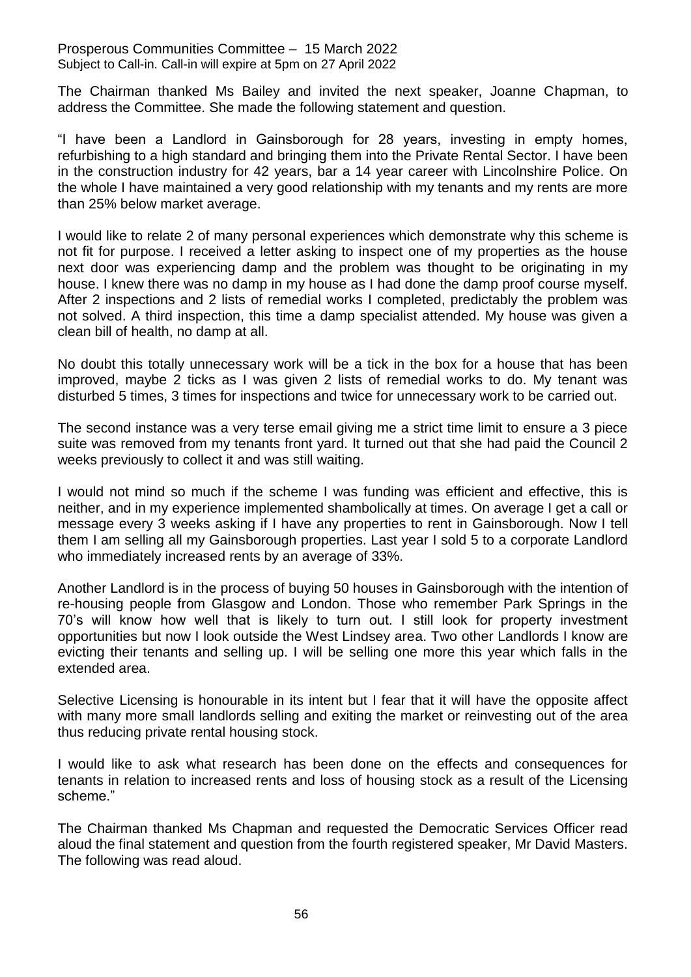The Chairman thanked Ms Bailey and invited the next speaker, Joanne Chapman, to address the Committee. She made the following statement and question.

"I have been a Landlord in Gainsborough for 28 years, investing in empty homes, refurbishing to a high standard and bringing them into the Private Rental Sector. I have been in the construction industry for 42 years, bar a 14 year career with Lincolnshire Police. On the whole I have maintained a very good relationship with my tenants and my rents are more than 25% below market average.

I would like to relate 2 of many personal experiences which demonstrate why this scheme is not fit for purpose. I received a letter asking to inspect one of my properties as the house next door was experiencing damp and the problem was thought to be originating in my house. I knew there was no damp in my house as I had done the damp proof course myself. After 2 inspections and 2 lists of remedial works I completed, predictably the problem was not solved. A third inspection, this time a damp specialist attended. My house was given a clean bill of health, no damp at all.

No doubt this totally unnecessary work will be a tick in the box for a house that has been improved, maybe 2 ticks as I was given 2 lists of remedial works to do. My tenant was disturbed 5 times, 3 times for inspections and twice for unnecessary work to be carried out.

The second instance was a very terse email giving me a strict time limit to ensure a 3 piece suite was removed from my tenants front yard. It turned out that she had paid the Council 2 weeks previously to collect it and was still waiting.

I would not mind so much if the scheme I was funding was efficient and effective, this is neither, and in my experience implemented shambolically at times. On average I get a call or message every 3 weeks asking if I have any properties to rent in Gainsborough. Now I tell them I am selling all my Gainsborough properties. Last year I sold 5 to a corporate Landlord who immediately increased rents by an average of 33%.

Another Landlord is in the process of buying 50 houses in Gainsborough with the intention of re-housing people from Glasgow and London. Those who remember Park Springs in the 70's will know how well that is likely to turn out. I still look for property investment opportunities but now I look outside the West Lindsey area. Two other Landlords I know are evicting their tenants and selling up. I will be selling one more this year which falls in the extended area.

Selective Licensing is honourable in its intent but I fear that it will have the opposite affect with many more small landlords selling and exiting the market or reinvesting out of the area thus reducing private rental housing stock.

I would like to ask what research has been done on the effects and consequences for tenants in relation to increased rents and loss of housing stock as a result of the Licensing scheme."

The Chairman thanked Ms Chapman and requested the Democratic Services Officer read aloud the final statement and question from the fourth registered speaker, Mr David Masters. The following was read aloud.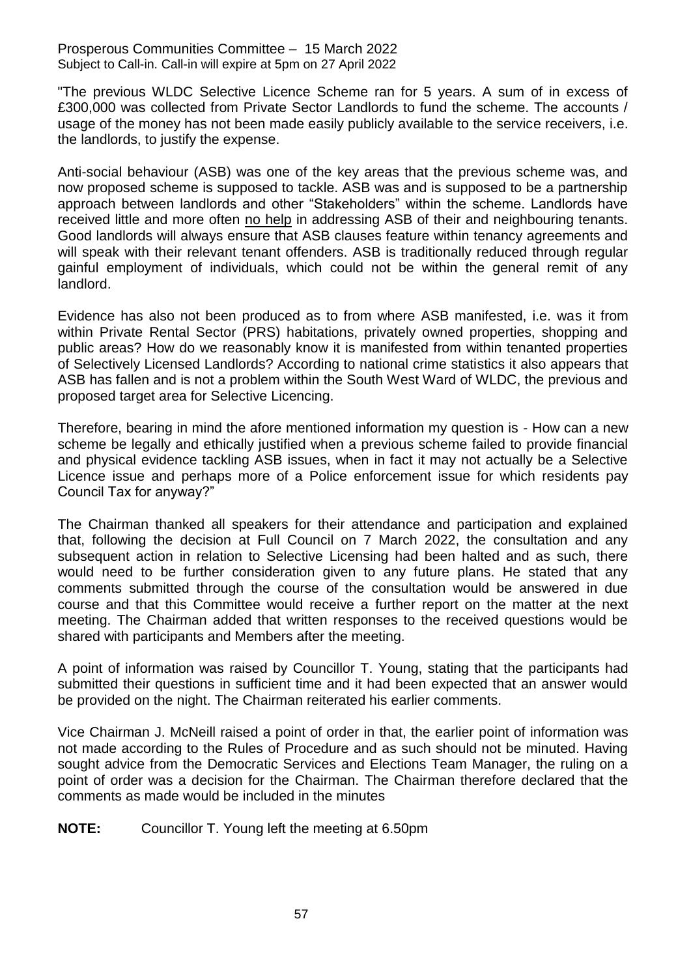"The previous WLDC Selective Licence Scheme ran for 5 years. A sum of in excess of £300,000 was collected from Private Sector Landlords to fund the scheme. The accounts / usage of the money has not been made easily publicly available to the service receivers, i.e. the landlords, to justify the expense.

Anti-social behaviour (ASB) was one of the key areas that the previous scheme was, and now proposed scheme is supposed to tackle. ASB was and is supposed to be a partnership approach between landlords and other "Stakeholders" within the scheme. Landlords have received little and more often no help in addressing ASB of their and neighbouring tenants. Good landlords will always ensure that ASB clauses feature within tenancy agreements and will speak with their relevant tenant offenders. ASB is traditionally reduced through regular gainful employment of individuals, which could not be within the general remit of any landlord.

Evidence has also not been produced as to from where ASB manifested, i.e. was it from within Private Rental Sector (PRS) habitations, privately owned properties, shopping and public areas? How do we reasonably know it is manifested from within tenanted properties of Selectively Licensed Landlords? According to national crime statistics it also appears that ASB has fallen and is not a problem within the South West Ward of WLDC, the previous and proposed target area for Selective Licencing.

Therefore, bearing in mind the afore mentioned information my question is - How can a new scheme be legally and ethically justified when a previous scheme failed to provide financial and physical evidence tackling ASB issues, when in fact it may not actually be a Selective Licence issue and perhaps more of a Police enforcement issue for which residents pay Council Tax for anyway?"

The Chairman thanked all speakers for their attendance and participation and explained that, following the decision at Full Council on 7 March 2022, the consultation and any subsequent action in relation to Selective Licensing had been halted and as such, there would need to be further consideration given to any future plans. He stated that any comments submitted through the course of the consultation would be answered in due course and that this Committee would receive a further report on the matter at the next meeting. The Chairman added that written responses to the received questions would be shared with participants and Members after the meeting.

A point of information was raised by Councillor T. Young, stating that the participants had submitted their questions in sufficient time and it had been expected that an answer would be provided on the night. The Chairman reiterated his earlier comments.

Vice Chairman J. McNeill raised a point of order in that, the earlier point of information was not made according to the Rules of Procedure and as such should not be minuted. Having sought advice from the Democratic Services and Elections Team Manager, the ruling on a point of order was a decision for the Chairman. The Chairman therefore declared that the comments as made would be included in the minutes

**NOTE:** Councillor T. Young left the meeting at 6.50pm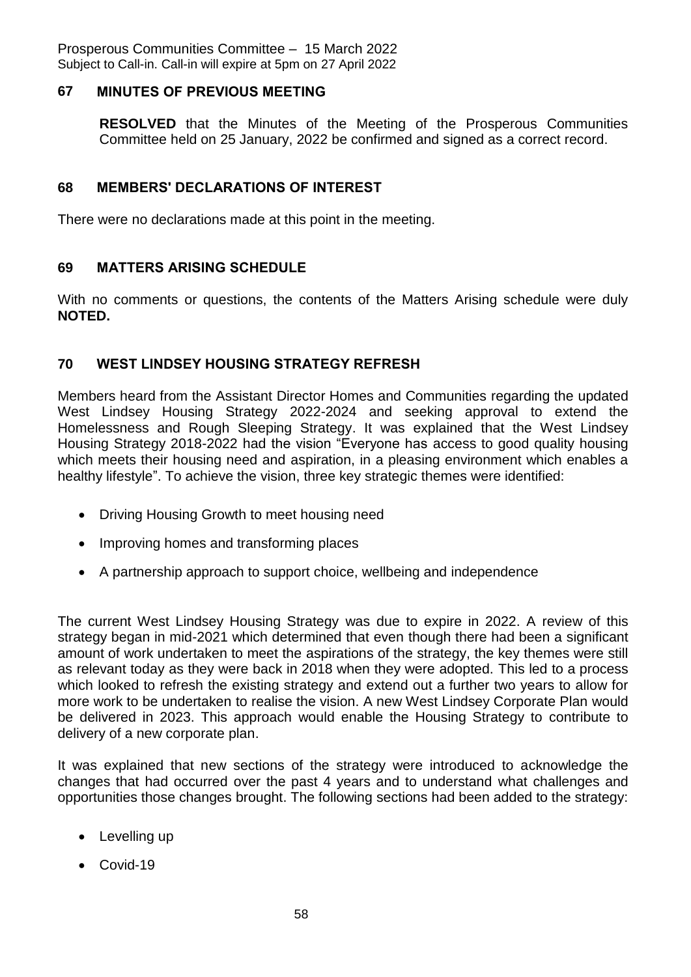## **67 MINUTES OF PREVIOUS MEETING**

**RESOLVED** that the Minutes of the Meeting of the Prosperous Communities Committee held on 25 January, 2022 be confirmed and signed as a correct record.

## **68 MEMBERS' DECLARATIONS OF INTEREST**

There were no declarations made at this point in the meeting.

## **69 MATTERS ARISING SCHEDULE**

With no comments or questions, the contents of the Matters Arising schedule were duly **NOTED.**

## **70 WEST LINDSEY HOUSING STRATEGY REFRESH**

Members heard from the Assistant Director Homes and Communities regarding the updated West Lindsey Housing Strategy 2022-2024 and seeking approval to extend the Homelessness and Rough Sleeping Strategy. It was explained that the West Lindsey Housing Strategy 2018-2022 had the vision "Everyone has access to good quality housing which meets their housing need and aspiration, in a pleasing environment which enables a healthy lifestyle". To achieve the vision, three key strategic themes were identified:

- Driving Housing Growth to meet housing need
- Improving homes and transforming places
- A partnership approach to support choice, wellbeing and independence

The current West Lindsey Housing Strategy was due to expire in 2022. A review of this strategy began in mid-2021 which determined that even though there had been a significant amount of work undertaken to meet the aspirations of the strategy, the key themes were still as relevant today as they were back in 2018 when they were adopted. This led to a process which looked to refresh the existing strategy and extend out a further two years to allow for more work to be undertaken to realise the vision. A new West Lindsey Corporate Plan would be delivered in 2023. This approach would enable the Housing Strategy to contribute to delivery of a new corporate plan.

It was explained that new sections of the strategy were introduced to acknowledge the changes that had occurred over the past 4 years and to understand what challenges and opportunities those changes brought. The following sections had been added to the strategy:

- Levelling up
- Covid-19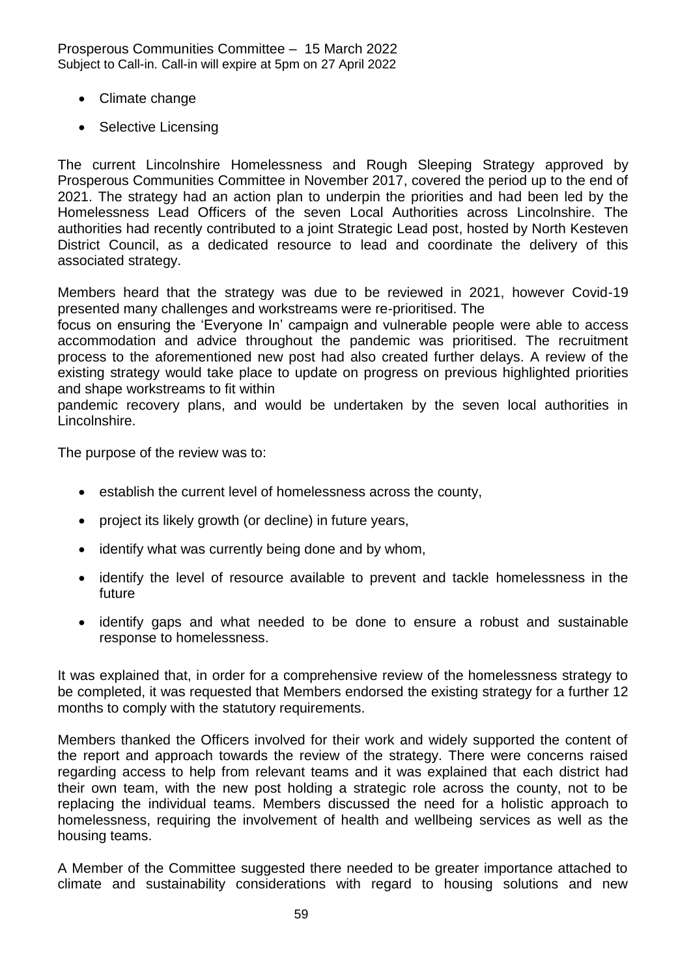- Climate change
- Selective Licensing

The current Lincolnshire Homelessness and Rough Sleeping Strategy approved by Prosperous Communities Committee in November 2017, covered the period up to the end of 2021. The strategy had an action plan to underpin the priorities and had been led by the Homelessness Lead Officers of the seven Local Authorities across Lincolnshire. The authorities had recently contributed to a joint Strategic Lead post, hosted by North Kesteven District Council, as a dedicated resource to lead and coordinate the delivery of this associated strategy.

Members heard that the strategy was due to be reviewed in 2021, however Covid-19 presented many challenges and workstreams were re-prioritised. The

focus on ensuring the 'Everyone In' campaign and vulnerable people were able to access accommodation and advice throughout the pandemic was prioritised. The recruitment process to the aforementioned new post had also created further delays. A review of the existing strategy would take place to update on progress on previous highlighted priorities and shape workstreams to fit within

pandemic recovery plans, and would be undertaken by the seven local authorities in Lincolnshire.

The purpose of the review was to:

- **e** establish the current level of homelessness across the county,
- project its likely growth (or decline) in future years,
- identify what was currently being done and by whom,
- identify the level of resource available to prevent and tackle homelessness in the future
- identify gaps and what needed to be done to ensure a robust and sustainable response to homelessness.

It was explained that, in order for a comprehensive review of the homelessness strategy to be completed, it was requested that Members endorsed the existing strategy for a further 12 months to comply with the statutory requirements.

Members thanked the Officers involved for their work and widely supported the content of the report and approach towards the review of the strategy. There were concerns raised regarding access to help from relevant teams and it was explained that each district had their own team, with the new post holding a strategic role across the county, not to be replacing the individual teams. Members discussed the need for a holistic approach to homelessness, requiring the involvement of health and wellbeing services as well as the housing teams.

A Member of the Committee suggested there needed to be greater importance attached to climate and sustainability considerations with regard to housing solutions and new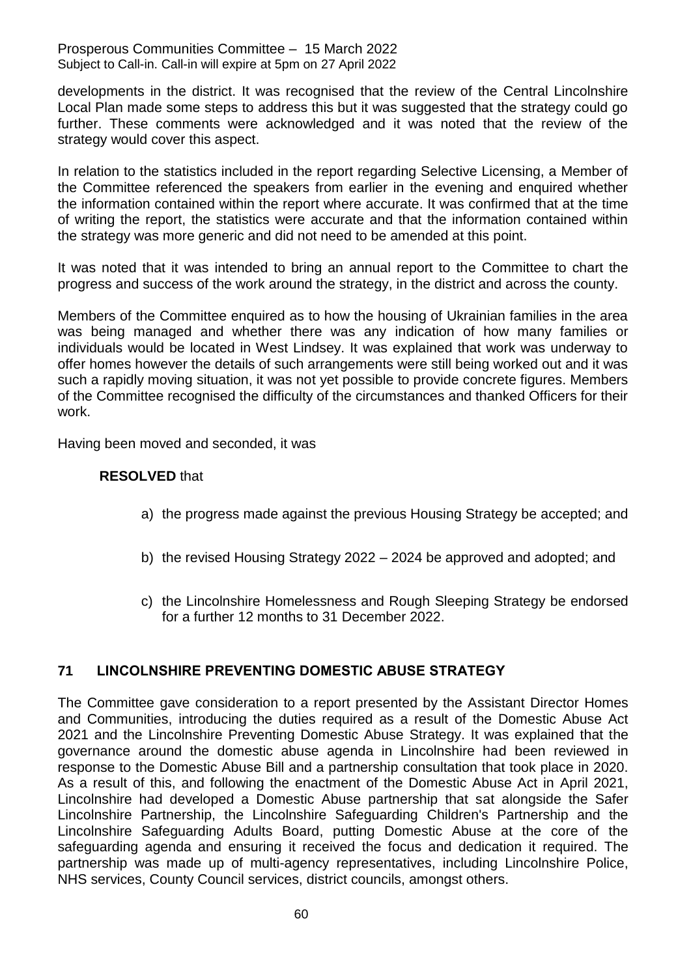developments in the district. It was recognised that the review of the Central Lincolnshire Local Plan made some steps to address this but it was suggested that the strategy could go further. These comments were acknowledged and it was noted that the review of the strategy would cover this aspect.

In relation to the statistics included in the report regarding Selective Licensing, a Member of the Committee referenced the speakers from earlier in the evening and enquired whether the information contained within the report where accurate. It was confirmed that at the time of writing the report, the statistics were accurate and that the information contained within the strategy was more generic and did not need to be amended at this point.

It was noted that it was intended to bring an annual report to the Committee to chart the progress and success of the work around the strategy, in the district and across the county.

Members of the Committee enquired as to how the housing of Ukrainian families in the area was being managed and whether there was any indication of how many families or individuals would be located in West Lindsey. It was explained that work was underway to offer homes however the details of such arrangements were still being worked out and it was such a rapidly moving situation, it was not yet possible to provide concrete figures. Members of the Committee recognised the difficulty of the circumstances and thanked Officers for their work.

Having been moved and seconded, it was

### **RESOLVED** that

- a) the progress made against the previous Housing Strategy be accepted; and
- b) the revised Housing Strategy 2022 2024 be approved and adopted; and
- c) the Lincolnshire Homelessness and Rough Sleeping Strategy be endorsed for a further 12 months to 31 December 2022.

# **71 LINCOLNSHIRE PREVENTING DOMESTIC ABUSE STRATEGY**

The Committee gave consideration to a report presented by the Assistant Director Homes and Communities, introducing the duties required as a result of the Domestic Abuse Act 2021 and the Lincolnshire Preventing Domestic Abuse Strategy. It was explained that the governance around the domestic abuse agenda in Lincolnshire had been reviewed in response to the Domestic Abuse Bill and a partnership consultation that took place in 2020. As a result of this, and following the enactment of the Domestic Abuse Act in April 2021, Lincolnshire had developed a Domestic Abuse partnership that sat alongside the Safer Lincolnshire Partnership, the Lincolnshire Safeguarding Children's Partnership and the Lincolnshire Safeguarding Adults Board, putting Domestic Abuse at the core of the safeguarding agenda and ensuring it received the focus and dedication it required. The partnership was made up of multi-agency representatives, including Lincolnshire Police, NHS services, County Council services, district councils, amongst others.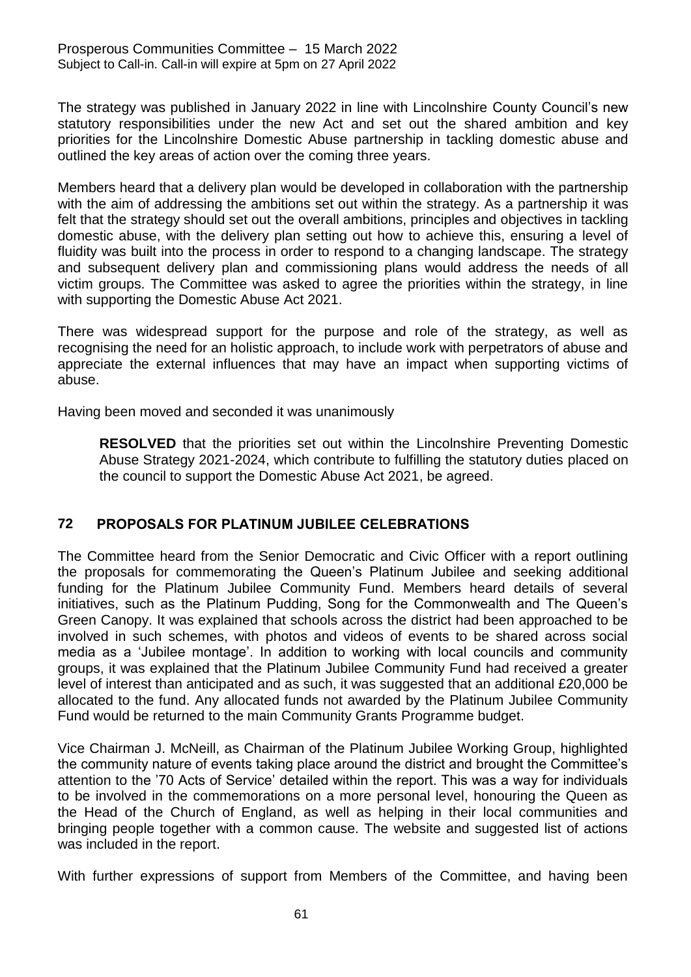The strategy was published in January 2022 in line with Lincolnshire County Council's new statutory responsibilities under the new Act and set out the shared ambition and key priorities for the Lincolnshire Domestic Abuse partnership in tackling domestic abuse and outlined the key areas of action over the coming three years.

Members heard that a delivery plan would be developed in collaboration with the partnership with the aim of addressing the ambitions set out within the strategy. As a partnership it was felt that the strategy should set out the overall ambitions, principles and objectives in tackling domestic abuse, with the delivery plan setting out how to achieve this, ensuring a level of fluidity was built into the process in order to respond to a changing landscape. The strategy and subsequent delivery plan and commissioning plans would address the needs of all victim groups. The Committee was asked to agree the priorities within the strategy, in line with supporting the Domestic Abuse Act 2021.

There was widespread support for the purpose and role of the strategy, as well as recognising the need for an holistic approach, to include work with perpetrators of abuse and appreciate the external influences that may have an impact when supporting victims of abuse.

Having been moved and seconded it was unanimously

**RESOLVED** that the priorities set out within the Lincolnshire Preventing Domestic Abuse Strategy 2021-2024, which contribute to fulfilling the statutory duties placed on the council to support the Domestic Abuse Act 2021, be agreed.

# **72 PROPOSALS FOR PLATINUM JUBILEE CELEBRATIONS**

The Committee heard from the Senior Democratic and Civic Officer with a report outlining the proposals for commemorating the Queen's Platinum Jubilee and seeking additional funding for the Platinum Jubilee Community Fund. Members heard details of several initiatives, such as the Platinum Pudding, Song for the Commonwealth and The Queen's Green Canopy. It was explained that schools across the district had been approached to be involved in such schemes, with photos and videos of events to be shared across social media as a 'Jubilee montage'. In addition to working with local councils and community groups, it was explained that the Platinum Jubilee Community Fund had received a greater level of interest than anticipated and as such, it was suggested that an additional £20,000 be allocated to the fund. Any allocated funds not awarded by the Platinum Jubilee Community Fund would be returned to the main Community Grants Programme budget.

Vice Chairman J. McNeill, as Chairman of the Platinum Jubilee Working Group, highlighted the community nature of events taking place around the district and brought the Committee's attention to the '70 Acts of Service' detailed within the report. This was a way for individuals to be involved in the commemorations on a more personal level, honouring the Queen as the Head of the Church of England, as well as helping in their local communities and bringing people together with a common cause. The website and suggested list of actions was included in the report.

With further expressions of support from Members of the Committee, and having been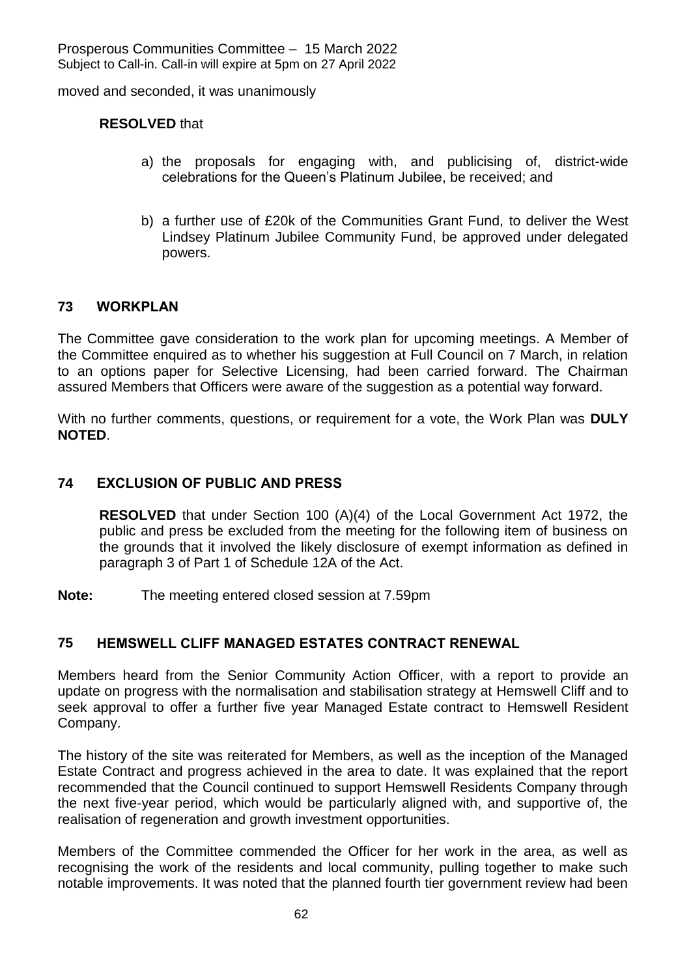moved and seconded, it was unanimously

## **RESOLVED** that

- a) the proposals for engaging with, and publicising of, district-wide celebrations for the Queen's Platinum Jubilee, be received; and
- b) a further use of £20k of the Communities Grant Fund, to deliver the West Lindsey Platinum Jubilee Community Fund, be approved under delegated powers.

# **73 WORKPLAN**

The Committee gave consideration to the work plan for upcoming meetings. A Member of the Committee enquired as to whether his suggestion at Full Council on 7 March, in relation to an options paper for Selective Licensing, had been carried forward. The Chairman assured Members that Officers were aware of the suggestion as a potential way forward.

With no further comments, questions, or requirement for a vote, the Work Plan was **DULY NOTED**.

# **74 EXCLUSION OF PUBLIC AND PRESS**

**RESOLVED** that under Section 100 (A)(4) of the Local Government Act 1972, the public and press be excluded from the meeting for the following item of business on the grounds that it involved the likely disclosure of exempt information as defined in paragraph 3 of Part 1 of Schedule 12A of the Act.

**Note:** The meeting entered closed session at 7.59pm

# **75 HEMSWELL CLIFF MANAGED ESTATES CONTRACT RENEWAL**

Members heard from the Senior Community Action Officer, with a report to provide an update on progress with the normalisation and stabilisation strategy at Hemswell Cliff and to seek approval to offer a further five year Managed Estate contract to Hemswell Resident Company.

The history of the site was reiterated for Members, as well as the inception of the Managed Estate Contract and progress achieved in the area to date. It was explained that the report recommended that the Council continued to support Hemswell Residents Company through the next five-year period, which would be particularly aligned with, and supportive of, the realisation of regeneration and growth investment opportunities.

Members of the Committee commended the Officer for her work in the area, as well as recognising the work of the residents and local community, pulling together to make such notable improvements. It was noted that the planned fourth tier government review had been